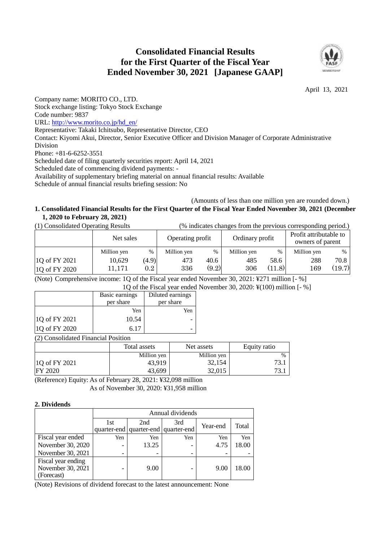# **Consolidated Financial Results for the First Quarter of the Fiscal Year Ended November 30, 2021 [Japanese GAAP]**



April 13, 2021

Company name: MORITO CO., LTD. Stock exchange listing: Tokyo Stock Exchange

Code number: 9837

URL: [http://www.morito.co.jp/hd\\_en/](http://www.morito.co.jp/hd_en/)

Representative: Takaki Ichitsubo, Representative Director, CEO

Contact: Kiyomi Akui, Director, Senior Executive Officer and Division Manager of Corporate Administrative Division Phone: +81-6-6252-3551

Scheduled date of filing quarterly securities report: April 14, 2021 Scheduled date of commencing dividend payments: -

Availability of supplementary briefing material on annual financial results: Available

Schedule of annual financial results briefing session: No

(Amounts of less than one million yen are rounded down.) **1. Consolidated Financial Results for the First Quarter of the Fiscal Year Ended November 30, 2021 (December 1, 2020 to February 28, 2021)**

| (1) Consolidated Operating Results<br>(% indicates changes from the previous corresponding period.) |             |                  |                  |       |                 |        |                                            |        |
|-----------------------------------------------------------------------------------------------------|-------------|------------------|------------------|-------|-----------------|--------|--------------------------------------------|--------|
|                                                                                                     | Net sales   |                  | Operating profit |       | Ordinary profit |        | Profit attributable to<br>owners of parent |        |
|                                                                                                     | Million yen | $\%$             | Million yen      | $\%$  | Million yen     | %      | Million yen                                | $\%$   |
| 1Q of FY 2021                                                                                       | 10,629      | (4.9)            | 473              | 40.6  | 485             | 58.6   | 288                                        | 70.8   |
| 1Q of FY 2020                                                                                       | 11,171      | 0.2 <sub>1</sub> | 336              | (9.2) | 306             | (11.8) | 169                                        | (19.7) |

(Note) Comprehensive income: 1Q of the Fiscal year ended November 30, 2021: ¥271 million [- %] November 30, 2020: ¥(100) million  $[-%]$ 

|                                     |                             | 1Q of the Fiscal year ended   |  |  |  |
|-------------------------------------|-----------------------------|-------------------------------|--|--|--|
|                                     | Basic earnings<br>per share | Diluted earnings<br>per share |  |  |  |
|                                     | Yen                         | Yen                           |  |  |  |
| 1Q of FY 2021                       | 10.54                       |                               |  |  |  |
| 1Q of FY 2020                       | 6.17                        |                               |  |  |  |
| (2) Consolidated Financial Position |                             |                               |  |  |  |

(2) Consolidated Financial Position

|                | Total assets | Net assets  | Equity ratio |
|----------------|--------------|-------------|--------------|
|                | Million yen  | Million yen | $\%$         |
| 10 of FY 2021  | 43.919       | 32,154      |              |
| <b>FY 2020</b> | 43,699       | 32,015      |              |

(Reference) Equity: As of February 28, 2021: ¥32,098 million

As of November 30, 2020: ¥31,958 million

## **2. Dividends**

|                                         |     | Annual dividends                    |     |          |       |  |  |  |  |
|-----------------------------------------|-----|-------------------------------------|-----|----------|-------|--|--|--|--|
|                                         | 1st | 2nd                                 | 3rd | Year-end | Total |  |  |  |  |
|                                         |     | quarter-end quarter-end quarter-end |     |          |       |  |  |  |  |
| Fiscal year ended                       | Yen | Yen                                 | Yen | Yen      | Yen   |  |  |  |  |
| November 30, 2020                       |     | 13.25                               |     | 4.75     | 18.00 |  |  |  |  |
| November 30, 2021                       |     |                                     |     |          |       |  |  |  |  |
| Fiscal year ending<br>November 30, 2021 |     | 9.00                                |     | 9.00     | 18.00 |  |  |  |  |
| (Forecast)                              |     |                                     |     |          |       |  |  |  |  |

(Note) Revisions of dividend forecast to the latest announcement: None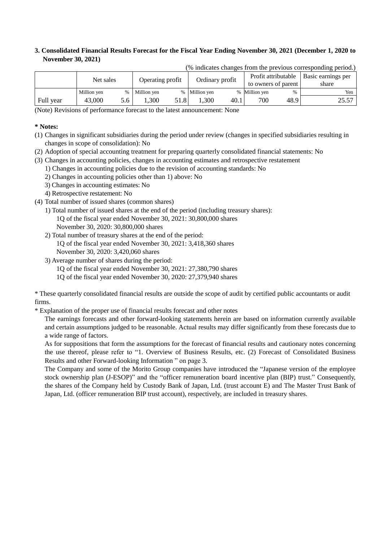## **3. Consolidated Financial Results Forecast for the Fiscal Year Ending November 30, 2021 (December 1, 2020 to November 30, 2021)**

|           | $\mu$ material entity of the $\mu$ and $\mu$ and $\mu$ and $\mu$ and $\mu$ and $\mu$ |      |             |                  |               |      |                     |                                        |       |                    |
|-----------|--------------------------------------------------------------------------------------|------|-------------|------------------|---------------|------|---------------------|----------------------------------------|-------|--------------------|
|           | Net sales                                                                            |      |             | Operating profit |               |      |                     | Profit attributable<br>Ordinary profit |       | Basic earnings per |
|           |                                                                                      |      |             |                  |               |      | to owners of parent |                                        | share |                    |
|           | Million yen                                                                          | $\%$ | Million yen |                  | % Million yen |      | % Million yen       | $\%$                                   | Yen   |                    |
| Full year | 43,000                                                                               | 5.6  | .300        | 51.8             | .300          | 40.1 | 700                 | 48.9                                   | 25.57 |                    |

(% indicates changes from the previous corresponding period.)

(Note) Revisions of performance forecast to the latest announcement: None

### **\* Notes:**

- (1) Changes in significant subsidiaries during the period under review (changes in specified subsidiaries resulting in changes in scope of consolidation): No
- (2) Adoption of special accounting treatment for preparing quarterly consolidated financial statements: No
- (3) Changes in accounting policies, changes in accounting estimates and retrospective restatement
	- 1) Changes in accounting policies due to the revision of accounting standards: No
		- 2) Changes in accounting policies other than 1) above: No
		- 3) Changes in accounting estimates: No
		- 4) Retrospective restatement: No
- (4) Total number of issued shares (common shares)
	- 1) Total number of issued shares at the end of the period (including treasury shares):
		- 1Q of the fiscal year ended November 30, 2021: 30,800,000 shares
		- November 30, 2020: 30,800,000 shares
	- 2) Total number of treasury shares at the end of the period:
		- 1Q of the fiscal year ended November 30, 2021: 3,418,360 shares November 30, 2020: 3,420,060 shares
	- 3) Average number of shares during the period:
		- 1Q of the fiscal year ended November 30, 2021: 27,380,790 shares
		- 1Q of the fiscal year ended November 30, 2020: 27,379,940 shares

\* These quarterly consolidated financial results are outside the scope of audit by certified public accountants or audit firms.

\* Explanation of the proper use of financial results forecast and other notes

The earnings forecasts and other forward-looking statements herein are based on information currently available and certain assumptions judged to be reasonable. Actual results may differ significantly from these forecasts due to a wide range of factors.

As for suppositions that form the assumptions for the forecast of financial results and cautionary notes concerning the use thereof, please refer to "1. Overview of Business Results, etc. (2) Forecast of Consolidated Business Results and other Forward-looking Information " on page 3.

The Company and some of the Morito Group companies have introduced the "Japanese version of the employee stock ownership plan (J-ESOP)" and the "officer remuneration board incentive plan (BIP) trust." Consequently, the shares of the Company held by Custody Bank of Japan, Ltd. (trust account E) and The Master Trust Bank of Japan, Ltd. (officer remuneration BIP trust account), respectively, are included in treasury shares.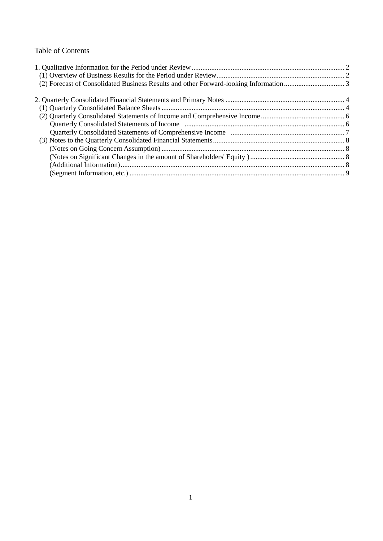# Table of Contents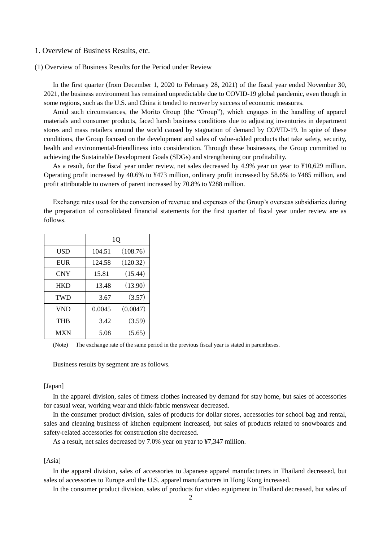#### 1. Overview of Business Results, etc.

(1) Overview of Business Results for the Period under Review

In the first quarter (from December 1, 2020 to February 28, 2021) of the fiscal year ended November 30, 2021, the business environment has remained unpredictable due to COVID-19 global pandemic, even though in some regions, such as the U.S. and China it tended to recover by success of economic measures.

Amid such circumstances, the Morito Group (the "Group"), which engages in the handling of apparel materials and consumer products, faced harsh business conditions due to adjusting inventories in department stores and mass retailers around the world caused by stagnation of demand by COVID-19. In spite of these conditions, the Group focused on the development and sales of value-added products that take safety, security, health and environmental-friendliness into consideration. Through these businesses, the Group committed to achieving the Sustainable Development Goals (SDGs) and strengthening our profitability.

As a result, for the fiscal year under review, net sales decreased by 4.9% year on year to ¥10,629 million. Operating profit increased by 40.6% to ¥473 million, ordinary profit increased by 58.6% to ¥485 million, and profit attributable to owners of parent increased by 70.8% to ¥288 million.

Exchange rates used for the conversion of revenue and expenses of the Group's overseas subsidiaries during the preparation of consolidated financial statements for the first quarter of fiscal year under review are as follows.

|            | 1Q     |          |  |  |  |  |
|------------|--------|----------|--|--|--|--|
| USD        | 104.51 | (108.76) |  |  |  |  |
| EUR        | 124.58 | (120.32) |  |  |  |  |
| <b>CNY</b> | 15.81  | (15.44)  |  |  |  |  |
| <b>HKD</b> | 13.48  | (13.90)  |  |  |  |  |
| <b>TWD</b> | 3.67   | (3.57)   |  |  |  |  |
| VND        | 0.0045 | (0.0047) |  |  |  |  |
| THB        | 3.42   | (3.59)   |  |  |  |  |
| MXN        | 5.08   | (5.65)   |  |  |  |  |

(Note) The exchange rate of the same period in the previous fiscal year is stated in parentheses.

Business results by segment are as follows.

#### [Japan]

In the apparel division, sales of fitness clothes increased by demand for stay home, but sales of accessories for casual wear, working wear and thick-fabric menswear decreased.

In the consumer product division, sales of products for dollar stores, accessories for school bag and rental, sales and cleaning business of kitchen equipment increased, but sales of products related to snowboards and safety-related accessories for construction site decreased.

As a result, net sales decreased by 7.0% year on year to ¥7,347 million.

#### [Asia]

In the apparel division, sales of accessories to Japanese apparel manufacturers in Thailand decreased, but sales of accessories to Europe and the U.S. apparel manufacturers in Hong Kong increased.

In the consumer product division, sales of products for video equipment in Thailand decreased, but sales of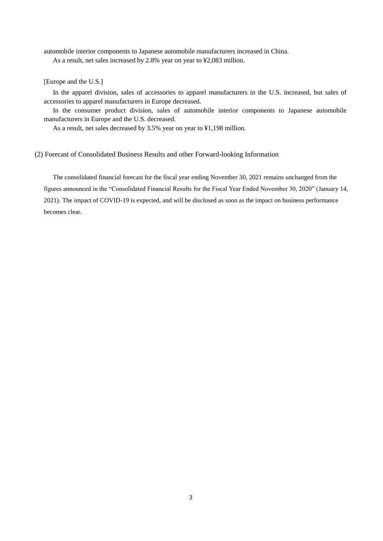automobile interior components to Japanese automobile manufacturers increased in China. As a result, net sales increased by 2.8% year on year to ¥2,083 million.

[Europe and the U.S.]

In the apparel division, sales of accessories to apparel manufacturers in the U.S. increased, but sales of accessories to apparel manufacturers in Europe decreased.

In the consumer product division, sales of automobile interior components to Japanese automobile manufacturers in Europe and the U.S. decreased.

As a result, net sales decreased by 3.5% year on year to ¥1,198 million.

### (2) Forecast of Consolidated Business Results and other Forward-looking Information

The consolidated financial forecast for the fiscal year ending November 30, 2021 remains unchanged from the figures announced in the "Consolidated Financial Results for the Fiscal Year Ended November 30, 2020" (January 14, 2021). The impact of COVID-19 is expected, and will be disclosed as soon as the impact on business performance becomes clear.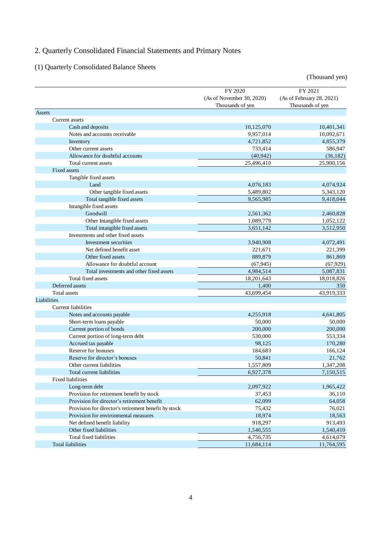# 2. Quarterly Consolidated Financial Statements and Primary Notes

# (1) Quarterly Consolidated Balance Sheets

| FY 2020<br>FY 2021<br>(As of November 30, 2020)<br>(As of February 28, 2021)<br>Thousands of yen<br>Thousands of yen<br><b>Assets</b><br>Current assets<br>Cash and deposits<br>10,125,070<br>10,401,341<br>Notes and accounts receivable<br>9,957,014<br>10,092,671<br>4,855,379<br>Inventory<br>4,721,852<br>Other current assets<br>733,414<br>586,947<br>Allowance for doubtful accounts<br>(40, 942)<br>(36, 182)<br>25,496,410<br>25,900,156<br>Total current assets<br><b>Fixed assets</b><br>Tangible fixed assets<br>Land<br>4,076,183<br>4,074,924<br>Other tangible fixed assets<br>5,489,802<br>5,343,120<br>Total tangible fixed assets<br>9,565,985<br>9,418,044<br>Intangible fixed assets<br>Goodwill<br>2,561,362<br>2,460,828<br>Other Intangible fixed assets<br>1,089,779<br>1,052,122<br>Total intangible fixed assets<br>3,651,142<br>3,512,950<br>Investments and other fixed assets<br>Investment securities<br>3,940,908<br>4,072,491<br>Net defined benefit asset<br>221,671<br>221,399<br>Other fixed assets<br>889,879<br>861,869<br>Allowance for doubtful account<br>(67, 929)<br>(67, 945)<br>Total investments and other fixed assets<br>4,984,514<br>5,087,831<br>Total fixed assets<br>18,201,643<br>18,018,826<br>Deferred assets<br>1,400<br>350<br>Total assets<br>43,699,454<br>43,919,333<br>Liabilities<br>Current liabilities<br>Notes and accounts payable<br>4,255,918<br>4,641,805<br>Short-term loans payable<br>50,000<br>50,000<br>Current portion of bonds<br>200,000<br>200,000<br>Current portion of long-term debt<br>530,000<br>553,334<br>Accrued tax payable<br>170,280<br>98,125<br>Reserve for bonuses<br>166,124<br>184,683<br>Reserve for director's bonuses<br>50,841<br>21,762<br>Other current liabilities<br>1,557,809<br>1,347,208<br>7,150,515<br>Total current liabilities<br>6,927,378 |
|----------------------------------------------------------------------------------------------------------------------------------------------------------------------------------------------------------------------------------------------------------------------------------------------------------------------------------------------------------------------------------------------------------------------------------------------------------------------------------------------------------------------------------------------------------------------------------------------------------------------------------------------------------------------------------------------------------------------------------------------------------------------------------------------------------------------------------------------------------------------------------------------------------------------------------------------------------------------------------------------------------------------------------------------------------------------------------------------------------------------------------------------------------------------------------------------------------------------------------------------------------------------------------------------------------------------------------------------------------------------------------------------------------------------------------------------------------------------------------------------------------------------------------------------------------------------------------------------------------------------------------------------------------------------------------------------------------------------------------------------------------------------------------------------------------------------------------------------------------|
|                                                                                                                                                                                                                                                                                                                                                                                                                                                                                                                                                                                                                                                                                                                                                                                                                                                                                                                                                                                                                                                                                                                                                                                                                                                                                                                                                                                                                                                                                                                                                                                                                                                                                                                                                                                                                                                          |
|                                                                                                                                                                                                                                                                                                                                                                                                                                                                                                                                                                                                                                                                                                                                                                                                                                                                                                                                                                                                                                                                                                                                                                                                                                                                                                                                                                                                                                                                                                                                                                                                                                                                                                                                                                                                                                                          |
|                                                                                                                                                                                                                                                                                                                                                                                                                                                                                                                                                                                                                                                                                                                                                                                                                                                                                                                                                                                                                                                                                                                                                                                                                                                                                                                                                                                                                                                                                                                                                                                                                                                                                                                                                                                                                                                          |
|                                                                                                                                                                                                                                                                                                                                                                                                                                                                                                                                                                                                                                                                                                                                                                                                                                                                                                                                                                                                                                                                                                                                                                                                                                                                                                                                                                                                                                                                                                                                                                                                                                                                                                                                                                                                                                                          |
|                                                                                                                                                                                                                                                                                                                                                                                                                                                                                                                                                                                                                                                                                                                                                                                                                                                                                                                                                                                                                                                                                                                                                                                                                                                                                                                                                                                                                                                                                                                                                                                                                                                                                                                                                                                                                                                          |
|                                                                                                                                                                                                                                                                                                                                                                                                                                                                                                                                                                                                                                                                                                                                                                                                                                                                                                                                                                                                                                                                                                                                                                                                                                                                                                                                                                                                                                                                                                                                                                                                                                                                                                                                                                                                                                                          |
|                                                                                                                                                                                                                                                                                                                                                                                                                                                                                                                                                                                                                                                                                                                                                                                                                                                                                                                                                                                                                                                                                                                                                                                                                                                                                                                                                                                                                                                                                                                                                                                                                                                                                                                                                                                                                                                          |
|                                                                                                                                                                                                                                                                                                                                                                                                                                                                                                                                                                                                                                                                                                                                                                                                                                                                                                                                                                                                                                                                                                                                                                                                                                                                                                                                                                                                                                                                                                                                                                                                                                                                                                                                                                                                                                                          |
|                                                                                                                                                                                                                                                                                                                                                                                                                                                                                                                                                                                                                                                                                                                                                                                                                                                                                                                                                                                                                                                                                                                                                                                                                                                                                                                                                                                                                                                                                                                                                                                                                                                                                                                                                                                                                                                          |
|                                                                                                                                                                                                                                                                                                                                                                                                                                                                                                                                                                                                                                                                                                                                                                                                                                                                                                                                                                                                                                                                                                                                                                                                                                                                                                                                                                                                                                                                                                                                                                                                                                                                                                                                                                                                                                                          |
|                                                                                                                                                                                                                                                                                                                                                                                                                                                                                                                                                                                                                                                                                                                                                                                                                                                                                                                                                                                                                                                                                                                                                                                                                                                                                                                                                                                                                                                                                                                                                                                                                                                                                                                                                                                                                                                          |
|                                                                                                                                                                                                                                                                                                                                                                                                                                                                                                                                                                                                                                                                                                                                                                                                                                                                                                                                                                                                                                                                                                                                                                                                                                                                                                                                                                                                                                                                                                                                                                                                                                                                                                                                                                                                                                                          |
|                                                                                                                                                                                                                                                                                                                                                                                                                                                                                                                                                                                                                                                                                                                                                                                                                                                                                                                                                                                                                                                                                                                                                                                                                                                                                                                                                                                                                                                                                                                                                                                                                                                                                                                                                                                                                                                          |
|                                                                                                                                                                                                                                                                                                                                                                                                                                                                                                                                                                                                                                                                                                                                                                                                                                                                                                                                                                                                                                                                                                                                                                                                                                                                                                                                                                                                                                                                                                                                                                                                                                                                                                                                                                                                                                                          |
|                                                                                                                                                                                                                                                                                                                                                                                                                                                                                                                                                                                                                                                                                                                                                                                                                                                                                                                                                                                                                                                                                                                                                                                                                                                                                                                                                                                                                                                                                                                                                                                                                                                                                                                                                                                                                                                          |
|                                                                                                                                                                                                                                                                                                                                                                                                                                                                                                                                                                                                                                                                                                                                                                                                                                                                                                                                                                                                                                                                                                                                                                                                                                                                                                                                                                                                                                                                                                                                                                                                                                                                                                                                                                                                                                                          |
|                                                                                                                                                                                                                                                                                                                                                                                                                                                                                                                                                                                                                                                                                                                                                                                                                                                                                                                                                                                                                                                                                                                                                                                                                                                                                                                                                                                                                                                                                                                                                                                                                                                                                                                                                                                                                                                          |
|                                                                                                                                                                                                                                                                                                                                                                                                                                                                                                                                                                                                                                                                                                                                                                                                                                                                                                                                                                                                                                                                                                                                                                                                                                                                                                                                                                                                                                                                                                                                                                                                                                                                                                                                                                                                                                                          |
|                                                                                                                                                                                                                                                                                                                                                                                                                                                                                                                                                                                                                                                                                                                                                                                                                                                                                                                                                                                                                                                                                                                                                                                                                                                                                                                                                                                                                                                                                                                                                                                                                                                                                                                                                                                                                                                          |
|                                                                                                                                                                                                                                                                                                                                                                                                                                                                                                                                                                                                                                                                                                                                                                                                                                                                                                                                                                                                                                                                                                                                                                                                                                                                                                                                                                                                                                                                                                                                                                                                                                                                                                                                                                                                                                                          |
|                                                                                                                                                                                                                                                                                                                                                                                                                                                                                                                                                                                                                                                                                                                                                                                                                                                                                                                                                                                                                                                                                                                                                                                                                                                                                                                                                                                                                                                                                                                                                                                                                                                                                                                                                                                                                                                          |
|                                                                                                                                                                                                                                                                                                                                                                                                                                                                                                                                                                                                                                                                                                                                                                                                                                                                                                                                                                                                                                                                                                                                                                                                                                                                                                                                                                                                                                                                                                                                                                                                                                                                                                                                                                                                                                                          |
|                                                                                                                                                                                                                                                                                                                                                                                                                                                                                                                                                                                                                                                                                                                                                                                                                                                                                                                                                                                                                                                                                                                                                                                                                                                                                                                                                                                                                                                                                                                                                                                                                                                                                                                                                                                                                                                          |
|                                                                                                                                                                                                                                                                                                                                                                                                                                                                                                                                                                                                                                                                                                                                                                                                                                                                                                                                                                                                                                                                                                                                                                                                                                                                                                                                                                                                                                                                                                                                                                                                                                                                                                                                                                                                                                                          |
|                                                                                                                                                                                                                                                                                                                                                                                                                                                                                                                                                                                                                                                                                                                                                                                                                                                                                                                                                                                                                                                                                                                                                                                                                                                                                                                                                                                                                                                                                                                                                                                                                                                                                                                                                                                                                                                          |
|                                                                                                                                                                                                                                                                                                                                                                                                                                                                                                                                                                                                                                                                                                                                                                                                                                                                                                                                                                                                                                                                                                                                                                                                                                                                                                                                                                                                                                                                                                                                                                                                                                                                                                                                                                                                                                                          |
|                                                                                                                                                                                                                                                                                                                                                                                                                                                                                                                                                                                                                                                                                                                                                                                                                                                                                                                                                                                                                                                                                                                                                                                                                                                                                                                                                                                                                                                                                                                                                                                                                                                                                                                                                                                                                                                          |
|                                                                                                                                                                                                                                                                                                                                                                                                                                                                                                                                                                                                                                                                                                                                                                                                                                                                                                                                                                                                                                                                                                                                                                                                                                                                                                                                                                                                                                                                                                                                                                                                                                                                                                                                                                                                                                                          |
|                                                                                                                                                                                                                                                                                                                                                                                                                                                                                                                                                                                                                                                                                                                                                                                                                                                                                                                                                                                                                                                                                                                                                                                                                                                                                                                                                                                                                                                                                                                                                                                                                                                                                                                                                                                                                                                          |
|                                                                                                                                                                                                                                                                                                                                                                                                                                                                                                                                                                                                                                                                                                                                                                                                                                                                                                                                                                                                                                                                                                                                                                                                                                                                                                                                                                                                                                                                                                                                                                                                                                                                                                                                                                                                                                                          |
|                                                                                                                                                                                                                                                                                                                                                                                                                                                                                                                                                                                                                                                                                                                                                                                                                                                                                                                                                                                                                                                                                                                                                                                                                                                                                                                                                                                                                                                                                                                                                                                                                                                                                                                                                                                                                                                          |
|                                                                                                                                                                                                                                                                                                                                                                                                                                                                                                                                                                                                                                                                                                                                                                                                                                                                                                                                                                                                                                                                                                                                                                                                                                                                                                                                                                                                                                                                                                                                                                                                                                                                                                                                                                                                                                                          |
|                                                                                                                                                                                                                                                                                                                                                                                                                                                                                                                                                                                                                                                                                                                                                                                                                                                                                                                                                                                                                                                                                                                                                                                                                                                                                                                                                                                                                                                                                                                                                                                                                                                                                                                                                                                                                                                          |
|                                                                                                                                                                                                                                                                                                                                                                                                                                                                                                                                                                                                                                                                                                                                                                                                                                                                                                                                                                                                                                                                                                                                                                                                                                                                                                                                                                                                                                                                                                                                                                                                                                                                                                                                                                                                                                                          |
|                                                                                                                                                                                                                                                                                                                                                                                                                                                                                                                                                                                                                                                                                                                                                                                                                                                                                                                                                                                                                                                                                                                                                                                                                                                                                                                                                                                                                                                                                                                                                                                                                                                                                                                                                                                                                                                          |
|                                                                                                                                                                                                                                                                                                                                                                                                                                                                                                                                                                                                                                                                                                                                                                                                                                                                                                                                                                                                                                                                                                                                                                                                                                                                                                                                                                                                                                                                                                                                                                                                                                                                                                                                                                                                                                                          |
|                                                                                                                                                                                                                                                                                                                                                                                                                                                                                                                                                                                                                                                                                                                                                                                                                                                                                                                                                                                                                                                                                                                                                                                                                                                                                                                                                                                                                                                                                                                                                                                                                                                                                                                                                                                                                                                          |
| <b>Fixed liabilities</b>                                                                                                                                                                                                                                                                                                                                                                                                                                                                                                                                                                                                                                                                                                                                                                                                                                                                                                                                                                                                                                                                                                                                                                                                                                                                                                                                                                                                                                                                                                                                                                                                                                                                                                                                                                                                                                 |
| Long-term debt<br>2,097,922<br>1,965,422                                                                                                                                                                                                                                                                                                                                                                                                                                                                                                                                                                                                                                                                                                                                                                                                                                                                                                                                                                                                                                                                                                                                                                                                                                                                                                                                                                                                                                                                                                                                                                                                                                                                                                                                                                                                                 |
| Provision for retirement benefit by stock<br>36,110<br>37,453                                                                                                                                                                                                                                                                                                                                                                                                                                                                                                                                                                                                                                                                                                                                                                                                                                                                                                                                                                                                                                                                                                                                                                                                                                                                                                                                                                                                                                                                                                                                                                                                                                                                                                                                                                                            |
| Provision for director's retirement benefit<br>62,099<br>64,058                                                                                                                                                                                                                                                                                                                                                                                                                                                                                                                                                                                                                                                                                                                                                                                                                                                                                                                                                                                                                                                                                                                                                                                                                                                                                                                                                                                                                                                                                                                                                                                                                                                                                                                                                                                          |
| Provision for director's retirement benefit by stock<br>76,021                                                                                                                                                                                                                                                                                                                                                                                                                                                                                                                                                                                                                                                                                                                                                                                                                                                                                                                                                                                                                                                                                                                                                                                                                                                                                                                                                                                                                                                                                                                                                                                                                                                                                                                                                                                           |
| 75,432<br>18,563<br>Provision for environmental measures<br>18,974                                                                                                                                                                                                                                                                                                                                                                                                                                                                                                                                                                                                                                                                                                                                                                                                                                                                                                                                                                                                                                                                                                                                                                                                                                                                                                                                                                                                                                                                                                                                                                                                                                                                                                                                                                                       |
| Net defined benefit liability<br>913,493<br>918,297                                                                                                                                                                                                                                                                                                                                                                                                                                                                                                                                                                                                                                                                                                                                                                                                                                                                                                                                                                                                                                                                                                                                                                                                                                                                                                                                                                                                                                                                                                                                                                                                                                                                                                                                                                                                      |
| Other fixed liabilities<br>1,546,555<br>1,540,410                                                                                                                                                                                                                                                                                                                                                                                                                                                                                                                                                                                                                                                                                                                                                                                                                                                                                                                                                                                                                                                                                                                                                                                                                                                                                                                                                                                                                                                                                                                                                                                                                                                                                                                                                                                                        |
| Total fixed liabilities<br>4,756,735<br>4,614,079                                                                                                                                                                                                                                                                                                                                                                                                                                                                                                                                                                                                                                                                                                                                                                                                                                                                                                                                                                                                                                                                                                                                                                                                                                                                                                                                                                                                                                                                                                                                                                                                                                                                                                                                                                                                        |
| <b>Total liabilities</b><br>11,684,114<br>11,764,595                                                                                                                                                                                                                                                                                                                                                                                                                                                                                                                                                                                                                                                                                                                                                                                                                                                                                                                                                                                                                                                                                                                                                                                                                                                                                                                                                                                                                                                                                                                                                                                                                                                                                                                                                                                                     |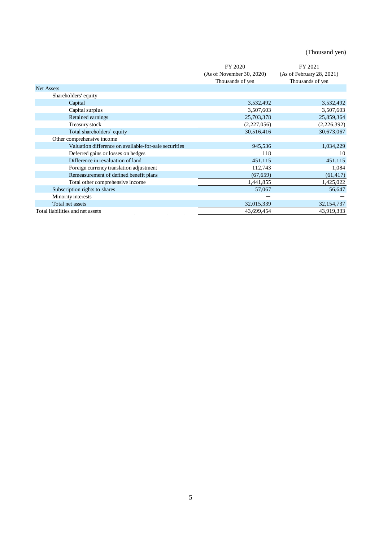|                                                       | FY 2020                   | FY 2021                   |
|-------------------------------------------------------|---------------------------|---------------------------|
|                                                       | (As of November 30, 2020) | (As of February 28, 2021) |
|                                                       | Thousands of yen          | Thousands of yen          |
| <b>Net Assets</b>                                     |                           |                           |
| Shareholders' equity                                  |                           |                           |
| Capital                                               | 3,532,492                 | 3,532,492                 |
| Capital surplus                                       | 3,507,603                 | 3,507,603                 |
| Retained earnings                                     | 25,703,378                | 25,859,364                |
| Treasury stock                                        | (2,227,056)               | (2,226,392)               |
| Total shareholders' equity                            | 30,516,416                | 30,673,067                |
| Other comprehensive income                            |                           |                           |
| Valuation difference on available-for-sale securities | 945,536                   | 1,034,229                 |
| Deferred gains or losses on hedges                    | 118                       | 10                        |
| Difference in revaluation of land                     | 451,115                   | 451,115                   |
| Foreign currency translation adjustment               | 112,743                   | 1,084                     |
| Remeasurement of defined benefit plans                | (67, 659)                 | (61, 417)                 |
| Total other comprehensive income                      | 1,441,855                 | 1,425,022                 |
| Subscription rights to shares                         | 57,067                    | 56,647                    |
| Minority interests                                    |                           |                           |
| Total net assets                                      | 32,015,339                | 32,154,737                |
| Total liabilities and net assets                      | 43,699,454                | 43,919,333                |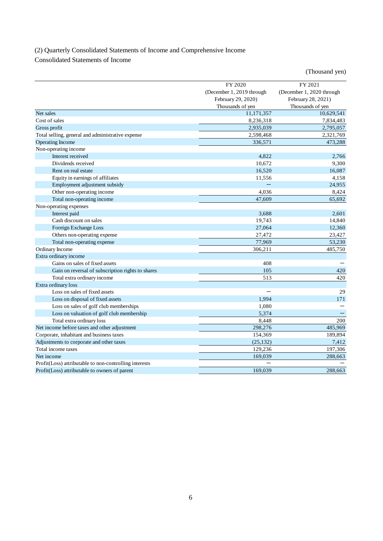# (2) Quarterly Consolidated Statements of Income and Comprehensive Income

Consolidated Statements of Income

|                                                        | FY 2020                   | FY 2021                   |
|--------------------------------------------------------|---------------------------|---------------------------|
|                                                        | (December 1, 2019 through | (December 1, 2020 through |
|                                                        | February 29, 2020)        | February 28, 2021)        |
|                                                        | Thousands of yen          | Thousands of yen          |
| Net sales                                              | 11,171,357                | 10,629,541                |
| Cost of sales                                          | 8,236,318                 | 7,834,483                 |
| Gross profit                                           | 2,935,039                 | 2,795,057                 |
| Total selling, general and administrative expense      | 2,598,468                 | 2,321,769                 |
| <b>Operating Income</b>                                | 336,571                   | 473,288                   |
| Non-operating income                                   |                           |                           |
| Interest received                                      | 4,822                     | 2,766                     |
| Dividends received                                     | 10,672                    | 9,300                     |
| Rent on real estate                                    | 16,520                    | 16,087                    |
| Equity in earnings of affiliates                       | 11,556                    | 4,158                     |
| Employment adjustment subsidy                          |                           | 24,955                    |
| Other non-operating income                             | 4,036                     | 8,424                     |
| Total non-operating income                             | 47.609                    | 65,692                    |
| Non-operating expenses                                 |                           |                           |
| Interest paid                                          | 3,688                     | 2,601                     |
| Cash discount on sales                                 | 19,743                    | 14,840                    |
| Foreign Exchange Loss                                  | 27,064                    | 12,360                    |
| Others non-operating expense                           | 27,472                    | 23,427                    |
| Total non-operating expense                            | 77,969                    | 53,230                    |
| Ordinary Income                                        | 306,211                   | 485,750                   |
| Extra ordinary income                                  |                           |                           |
| Gains on sales of fixed assets                         | 408                       |                           |
| Gain on reversal of subscription rights to shares      | 105                       | 420                       |
| Total extra ordinary income                            | 513                       | 420                       |
| Extra ordinary loss                                    |                           |                           |
| Loss on sales of fixed assets                          |                           | 29                        |
| Loss on disposal of fixed assets                       | 1,994                     | 171                       |
| Loss on sales of golf club memberships                 | 1,080                     |                           |
| Loss on valuation of golf club membership              | 5,374                     |                           |
| Total extra ordinary loss                              | 8,448                     | 200                       |
| Net income before taxes and other adjustment           | 298,276                   | 485,969                   |
| Corporate, inhabitant and business taxes               | 154,369                   | 189,894                   |
| Adjustments to corporate and other taxes               | (25, 132)                 | 7,412                     |
| Total income taxes                                     | 129,236                   | 197,306                   |
| Net income                                             | 169,039                   | 288,663                   |
| Profit(Loss) attributable to non-controlling interests |                           |                           |
| Profit(Loss) attributable to owners of parent          | 169,039                   | 288,663                   |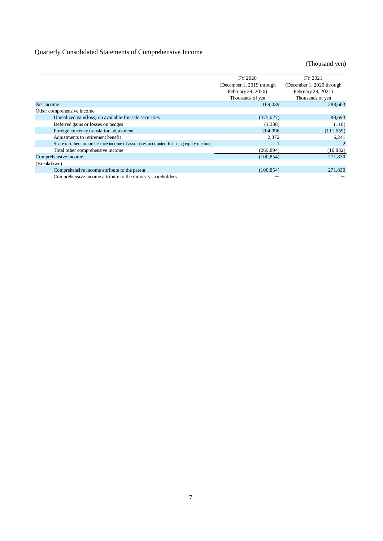# Quarterly Consolidated Statements of Comprehensive Income

|                                                                                     | FY 2020                   | FY 2021                   |
|-------------------------------------------------------------------------------------|---------------------------|---------------------------|
|                                                                                     | (December 1, 2019 through | (December 1, 2020 through |
|                                                                                     | February 29, 2020)        | February 28, 2021)        |
|                                                                                     | Thousands of yen          | Thousands of yen          |
| Net Income                                                                          | 169,039                   | 288,663                   |
| Other comprehensive income                                                          |                           |                           |
| Unrealized gain(loss) on available-for-sale securities                              | (475, 027)                | 88,693                    |
| Deferred gains or losses on hedges                                                  | (1,338)                   | (110)                     |
| Foreign currency translation adjustment                                             | 204,096                   | (111, 659)                |
| Adjustments to retirement benefit                                                   | 2,372                     | 6,241                     |
| Share of other comprehensive income of associates accounted for using equity method |                           |                           |
| Total other comprehensive income                                                    | (269, 894)                | (16, 832)                 |
| Comprehensive income                                                                | (100, 854)                | 271,830                   |
| (Breakdown)                                                                         |                           |                           |
| Comprehensive income attribute to the parent                                        | (100, 854)                | 271,830                   |
| Comprehensive income attribute to the minority shareholders                         |                           |                           |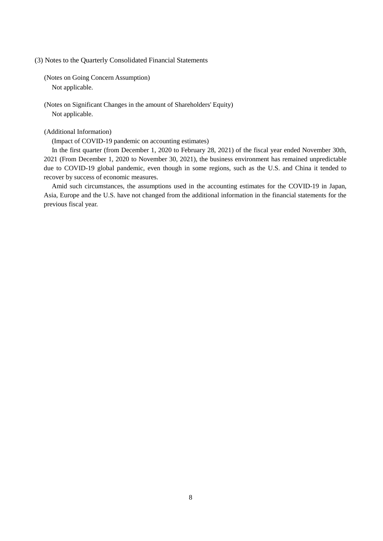(3) Notes to the Quarterly Consolidated Financial Statements

(Notes on Going Concern Assumption) Not applicable.

(Notes on Significant Changes in the amount of Shareholders' Equity) Not applicable.

#### (Additional Information)

(Impact of COVID-19 pandemic on accounting estimates)

In the first quarter (from December 1, 2020 to February 28, 2021) of the fiscal year ended November 30th, 2021 (From December 1, 2020 to November 30, 2021), the business environment has remained unpredictable due to COVID-19 global pandemic, even though in some regions, such as the U.S. and China it tended to recover by success of economic measures.

Amid such circumstances, the assumptions used in the accounting estimates for the COVID-19 in Japan, Asia, Europe and the U.S. have not changed from the additional information in the financial statements for the previous fiscal year.